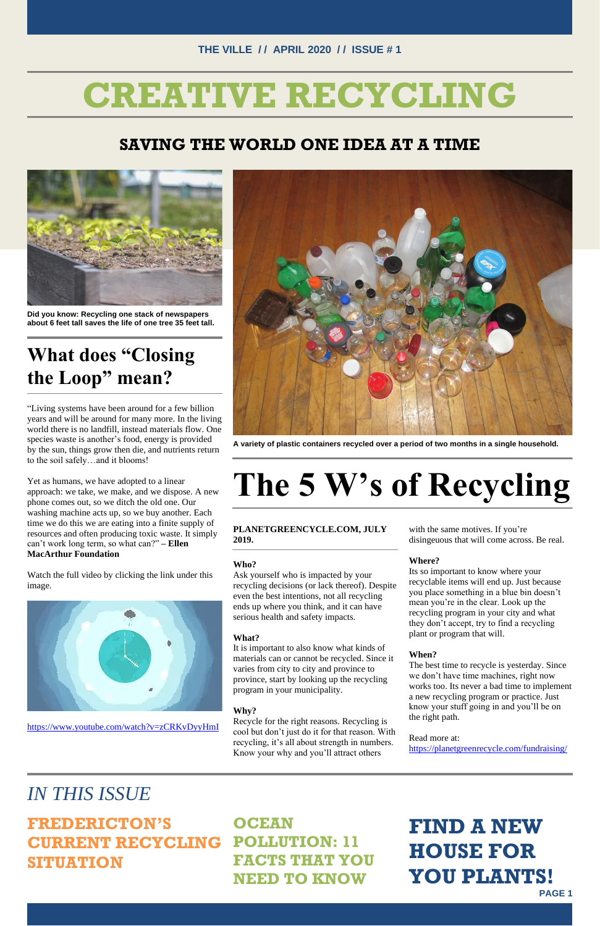#### **THE VILLE / / APRIL 2020 / / ISSUE # 1**

**PAGE 1**

## **CREATIVE RECYCLING**

#### **SAVING THE WORLD ONE IDEA AT A TIME**



**Did you know: Recycling one stack of newspapers about 6 feet tall saves the life of one tree 35 feet tall.**

### **What does "Closing the Loop" mean?**

"Living systems have been around for a few billion years and will be around for many more. In the living world there is no landfill, instead materials flow. One species waste is another's food, energy is provided by the sun, things grow then die, and nutrients return to the soil safely…and it blooms!

Yet as humans, we have adopted to a linear approach: we take, we make, and we dispose. A new phone comes out, so we ditch the old one. Our washing machine acts up, so we buy another. Each time we do this we are eating into a finite supply of resources and often producing toxic waste. It simply can't work long term, so what can?" **– Ellen MacArthur Foundation**

Watch the full video by clicking the link under this image.



<https://www.youtube.com/watch?v=zCRKvDyyHmI>



**A variety of plastic containers recycled over a period of two months in a single household.**

# **The 5 W's of Recycling**

#### **PLANETGREENCYCLE.COM, JULY 2019.**

**Who?**

Ask yourself who is impacted by your recycling decisions (or lack thereof). Despite even the best intentions, not all recycling ends up where you think, and it can have serious health and safety impacts.

#### **What?**

It is important to also know what kinds of materials can or cannot be recycled. Since it varies from city to city and province to province, start by looking up the recycling program in your municipality.

#### **Why?**

Recycle for the right reasons. Recycling is cool but don't just do it for that reason. With recycling, it's all about strength in numbers. Know your why and you'll attract others

with the same motives. If you're disingeuous that will come across. Be real.

#### **Where?**

Its so important to know where your recyclable items will end up. Just because you place something in a blue bin doesn't mean you're in the clear. Look up the recycling program in your city and what they don't accept, try to find a recycling plant or program that will.

#### **When?**

The best time to recycle is yesterday. Since we don't have time machines, right now

works too. Its never a bad time to implement a new recycling program or practice. Just know your stuff going in and you'll be on the right path.

Read more at:

<https://planetgreenrecycle.com/fundraising/>

### *IN THIS ISSUE*

#### **FREDERICTON'S CURRENT RECYCLING SITUATION OCEAN POLLUTION: 11 FACTS THAT YOU NEED TO KNOW**

### **FIND A NEW HOUSE FOR YOU PLANTS!**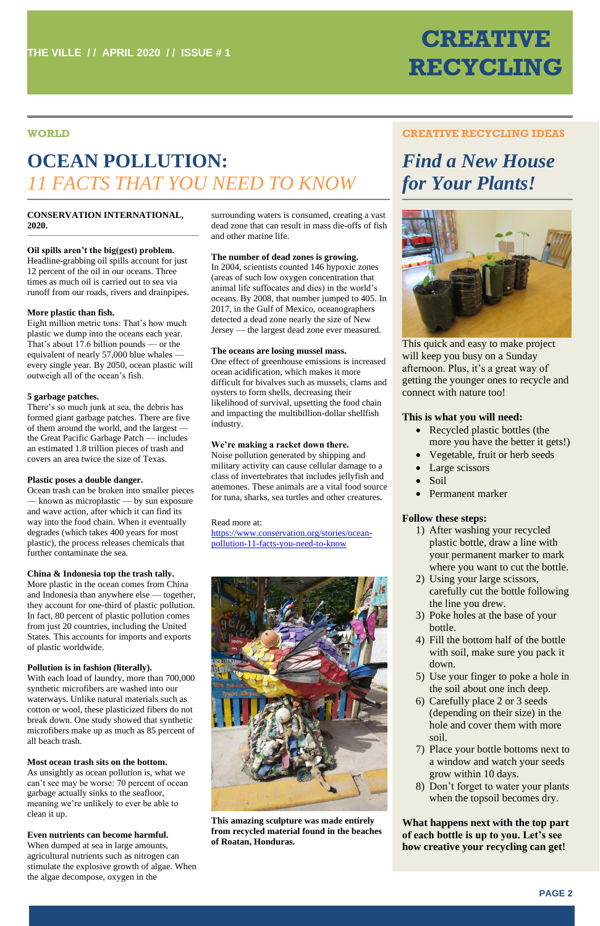### **CREATIVE RECYCLING**

#### **WORLD**

### **OCEAN POLLUTION:** *11 FACTS THAT YOU NEED TO KNOW*

#### **CREATIVE RECYCLING IDEAS**

### *Find a New House for Your Plants!*



- Recycled plastic bottles (the more you have the better it gets!)
- Vegetable, fruit or herb seeds
- Large scissors
- Soil
- Permanent marker

This quick and easy to make project will keep you busy on a Sunday afternoon. Plus, it's a great way of getting the younger ones to recycle and connect with nature too!

#### **This is what you will need:**

#### **Follow these steps:**

- 1) After washing your recycled plastic bottle, draw a line with your permanent marker to mark where you want to cut the bottle.
- 2) Using your large scissors, carefully cut the bottle following the line you drew.
- 3) Poke holes at the base of your bottle.
- 4) Fill the bottom half of the bottle with soil, make sure you pack it down.
- 5) Use your finger to poke a hole in
- the soil about one inch deep. 6) Carefully place 2 or 3 seeds (depending on their size) in the hole and cover them with more soil.
- 7) Place your bottle bottoms next to a window and watch your seeds grow within 10 days.
- 8) Don't forget to water your plants when the topsoil becomes dry.

**What happens next with the top part of each bottle is up to you. Let's see how creative your recycling can get!**

#### **CONSERVATION INTERNATIONAL, 2020.**

#### **Oil spills aren't the big(gest) problem.**

Headline-grabbing oil spills account for just 12 percent of the oil in our oceans. Three times as much oil is carried out to sea via runoff from our roads, rivers and drainpipes.

#### **More plastic than fish.**

Eight million metric tons: That's how much plastic we dump into the oceans each year. That's about 17.6 billion pounds — or the equivalent of nearly 57,000 blue whales every single year. By 2050, ocean plastic will outweigh all of the ocean's fish.

#### **5 garbage patches.**

There's so much junk at sea, the debris has formed giant garbage patches. There are five of them around the world, and the largest the Great Pacific Garbage Patch — includes an estimated 1.8 trillion pieces of trash and covers an area twice the size of Texas.

#### **Plastic poses a double danger.**

Ocean trash can be broken into smaller pieces — known as microplastic — by sun exposure and wave action, after which it can find its way into the food chain. When it eventually degrades (which takes 400 years for most plastic), the process releases chemicals that further contaminate the sea.

#### **China & Indonesia top the trash tally.**

More plastic in the ocean comes from China and Indonesia than anywhere else — together, they account for one-third of plastic pollution. In fact, 80 percent of plastic pollution comes from just 20 countries, including the United States. This accounts for imports and exports of plastic worldwide.

#### **Pollution is in fashion (literally).**

With each load of laundry, more than 700,000 synthetic microfibers are washed into our waterways. Unlike natural materials such as cotton or wool, these plasticized fibers do not break down. One study showed that synthetic microfibers make up as much as 85 percent of all beach trash.

#### **Most ocean trash sits on the bottom.**

As unsightly as ocean pollution is, what we can't see may be worse: 70 percent of ocean garbage actually sinks to the seafloor, meaning we're unlikely to ever be able to clean it up.

#### **Even nutrients can become harmful.**

When dumped at sea in large amounts, agricultural nutrients such as nitrogen can stimulate the explosive growth of algae. When the algae decompose, oxygen in the

surrounding waters is consumed, creating a vast dead zone that can result in mass die-offs of fish and other marine life.

#### **The number of dead zones is growing.**

In 2004, scientists counted 146 hypoxic zones (areas of such low oxygen concentration that animal life suffocates and dies) in the world's oceans. By 2008, that number jumped to 405. In 2017, in the Gulf of Mexico, oceanographers detected a dead zone nearly the size of New Jersey — the largest dead zone ever measured.

#### **The oceans are losing mussel mass.**

One effect of greenhouse emissions is increased ocean acidification, which makes it more difficult for bivalves such as mussels, clams and oysters to form shells, decreasing their likelihood of survival, upsetting the food chain and impacting the multibillion-dollar shellfish industry.

#### **We're making a racket down there.**

Noise pollution generated by shipping and military activity can cause cellular damage to a class of invertebrates that includes jellyfish and anemones. These animals are a vital food source for tuna, sharks, sea turtles and other creatures.

#### Read more at:

[https://www.conservation.org/stories/ocean](https://www.conservation.org/stories/ocean-pollution-11-facts-you-need-to-know)[pollution-11-facts-you-need-to-know](https://www.conservation.org/stories/ocean-pollution-11-facts-you-need-to-know)



**This amazing sculpture was made entirely from recycled material found in the beaches of Roatan, Honduras.**